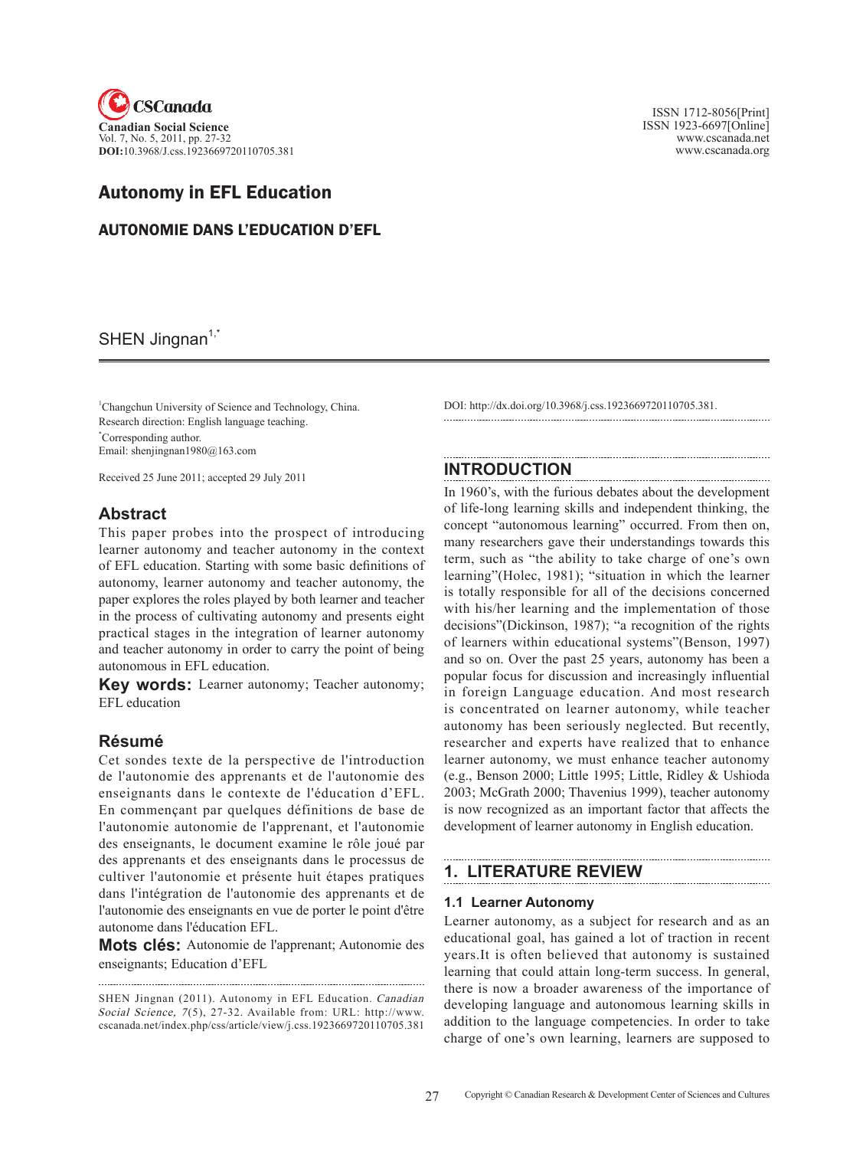

# Autonomy in EFL Education

AUTONOMIE DANS L'EDUCATION D'EFL

SHEN Jingnan $1,^{\dagger}$ 

<sup>1</sup>Changchun University of Science and Technology, China. Research direction: English language teaching. \* Corresponding author. Email: shenjingnan1980@163.com

Received 25 June 2011; accepted 29 July 2011

## **Abstract**

This paper probes into the prospect of introducing learner autonomy and teacher autonomy in the context of EFL education. Starting with some basic definitions of autonomy, learner autonomy and teacher autonomy, the paper explores the roles played by both learner and teacher in the process of cultivating autonomy and presents eight practical stages in the integration of learner autonomy and teacher autonomy in order to carry the point of being autonomous in EFL education.

**Key words:** Learner autonomy; Teacher autonomy; EFL education

## **Résumé**

Cet sondes texte de la perspective de l'introduction de l'autonomie des apprenants et de l'autonomie des enseignants dans le contexte de l'éducation d'EFL. En commençant par quelques définitions de base de l'autonomie autonomie de l'apprenant, et l'autonomie des enseignants, le document examine le rôle joué par des apprenants et des enseignants dans le processus de cultiver l'autonomie et présente huit étapes pratiques dans l'intégration de l'autonomie des apprenants et de l'autonomie des enseignants en vue de porter le point d'être autonome dans l'éducation EFL.

**Mots clés:** Autonomie de l'apprenant; Autonomie des enseignants; Education d'EFL

 ISSN 1712-8056[Print] ISSN 1923-6697[Online] www.cscanada.net www.cscanada.org

DOI: http://dx.doi.org/10.3968/j.css.1923669720110705.381.

## **INTRODUCTION**

In 1960's, with the furious debates about the development of life-long learning skills and independent thinking, the concept "autonomous learning" occurred. From then on, many researchers gave their understandings towards this term, such as "the ability to take charge of one's own learning"(Holec, 1981); "situation in which the learner is totally responsible for all of the decisions concerned with his/her learning and the implementation of those decisions"(Dickinson, 1987); "a recognition of the rights of learners within educational systems"(Benson, 1997) and so on. Over the past 25 years, autonomy has been a popular focus for discussion and increasingly influential in foreign Language education. And most research is concentrated on learner autonomy, while teacher autonomy has been seriously neglected. But recently, researcher and experts have realized that to enhance learner autonomy, we must enhance teacher autonomy (e.g., Benson 2000; Little 1995; Little, Ridley & Ushioda 2003; McGrath 2000; Thavenius 1999), teacher autonomy is now recognized as an important factor that affects the development of learner autonomy in English education.

# **1. LITERATURE REVIEW**

### **1.1 Learner autonomy**

Learner autonomy, as a subject for research and as an educational goal, has gained a lot of traction in recent years.It is often believed that autonomy is sustained learning that could attain long-term success. In general, there is now a broader awareness of the importance of developing language and autonomous learning skills in addition to the language competencies. In order to take charge of one's own learning, learners are supposed to

SHEN Jingnan (2011). Autonomy in EFL Education. Canadian Social Science, 7(5), 27-32. Available from: URL: http://www. cscanada.net/index.php/css/article/view/j.css.1923669720110705.381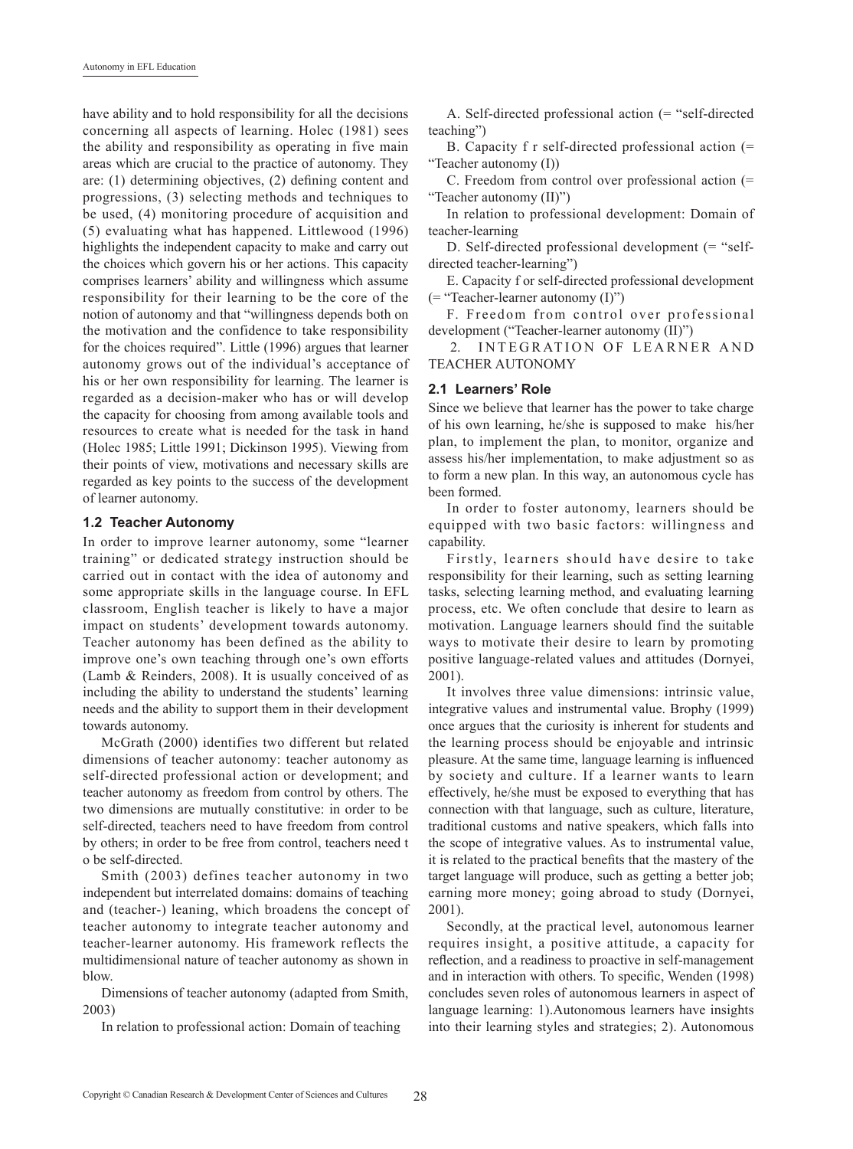have ability and to hold responsibility for all the decisions concerning all aspects of learning. Holec (1981) sees the ability and responsibility as operating in five main areas which are crucial to the practice of autonomy. They are: (1) determining objectives, (2) defining content and progressions, (3) selecting methods and techniques to be used, (4) monitoring procedure of acquisition and (5) evaluating what has happened. Littlewood (1996) highlights the independent capacity to make and carry out the choices which govern his or her actions. This capacity comprises learners' ability and willingness which assume responsibility for their learning to be the core of the notion of autonomy and that "willingness depends both on the motivation and the confidence to take responsibility for the choices required". Little (1996) argues that learner autonomy grows out of the individual's acceptance of his or her own responsibility for learning. The learner is regarded as a decision-maker who has or will develop the capacity for choosing from among available tools and resources to create what is needed for the task in hand (Holec 1985; Little 1991; Dickinson 1995). Viewing from their points of view, motivations and necessary skills are regarded as key points to the success of the development of learner autonomy.

#### **1.2 Teacher Autonomy**

In order to improve learner autonomy, some "learner training" or dedicated strategy instruction should be carried out in contact with the idea of autonomy and some appropriate skills in the language course. In EFL classroom, English teacher is likely to have a major impact on students' development towards autonomy. Teacher autonomy has been defined as the ability to improve one's own teaching through one's own efforts (Lamb & Reinders, 2008). It is usually conceived of as including the ability to understand the students' learning needs and the ability to support them in their development towards autonomy.

McGrath (2000) identifies two different but related dimensions of teacher autonomy: teacher autonomy as self-directed professional action or development; and teacher autonomy as freedom from control by others. The two dimensions are mutually constitutive: in order to be self-directed, teachers need to have freedom from control by others; in order to be free from control, teachers need t o be self-directed.

Smith (2003) defines teacher autonomy in two independent but interrelated domains: domains of teaching and (teacher-) leaning, which broadens the concept of teacher autonomy to integrate teacher autonomy and teacher-learner autonomy. His framework reflects the multidimensional nature of teacher autonomy as shown in blow.

Dimensions of teacher autonomy (adapted from Smith, 2003)

In relation to professional action: Domain of teaching

A. Self-directed professional action (= "self-directed teaching")

B. Capacity f r self-directed professional action (= "Teacher autonomy (I))

C. Freedom from control over professional action (= "Teacher autonomy (II)")

In relation to professional development: Domain of teacher-learning

D. Self-directed professional development (= "selfdirected teacher-learning")

E. Capacity f or self-directed professional development (= "Teacher-learner autonomy (I)")

F. Freedom from control over professional development ("Teacher-learner autonomy (II)")

2. INTEGRATION OF LEARNER AND TEACHER AUTONOMY

#### **2.1 Learners' Role**

Since we believe that learner has the power to take charge of his own learning, he/she is supposed to make his/her plan, to implement the plan, to monitor, organize and assess his/her implementation, to make adjustment so as to form a new plan. In this way, an autonomous cycle has been formed.

In order to foster autonomy, learners should be equipped with two basic factors: willingness and capability.

Firstly, learners should have desire to take responsibility for their learning, such as setting learning tasks, selecting learning method, and evaluating learning process, etc. We often conclude that desire to learn as motivation. Language learners should find the suitable ways to motivate their desire to learn by promoting positive language-related values and attitudes (Dornyei, 2001).

It involves three value dimensions: intrinsic value, integrative values and instrumental value. Brophy (1999) once argues that the curiosity is inherent for students and the learning process should be enjoyable and intrinsic pleasure. At the same time, language learning is influenced by society and culture. If a learner wants to learn effectively, he/she must be exposed to everything that has connection with that language, such as culture, literature, traditional customs and native speakers, which falls into the scope of integrative values. As to instrumental value, it is related to the practical benefits that the mastery of the target language will produce, such as getting a better job; earning more money; going abroad to study (Dornyei, 2001).

Secondly, at the practical level, autonomous learner requires insight, a positive attitude, a capacity for reflection, and a readiness to proactive in self-management and in interaction with others. To specific, Wenden (1998) concludes seven roles of autonomous learners in aspect of language learning: 1).Autonomous learners have insights into their learning styles and strategies; 2). Autonomous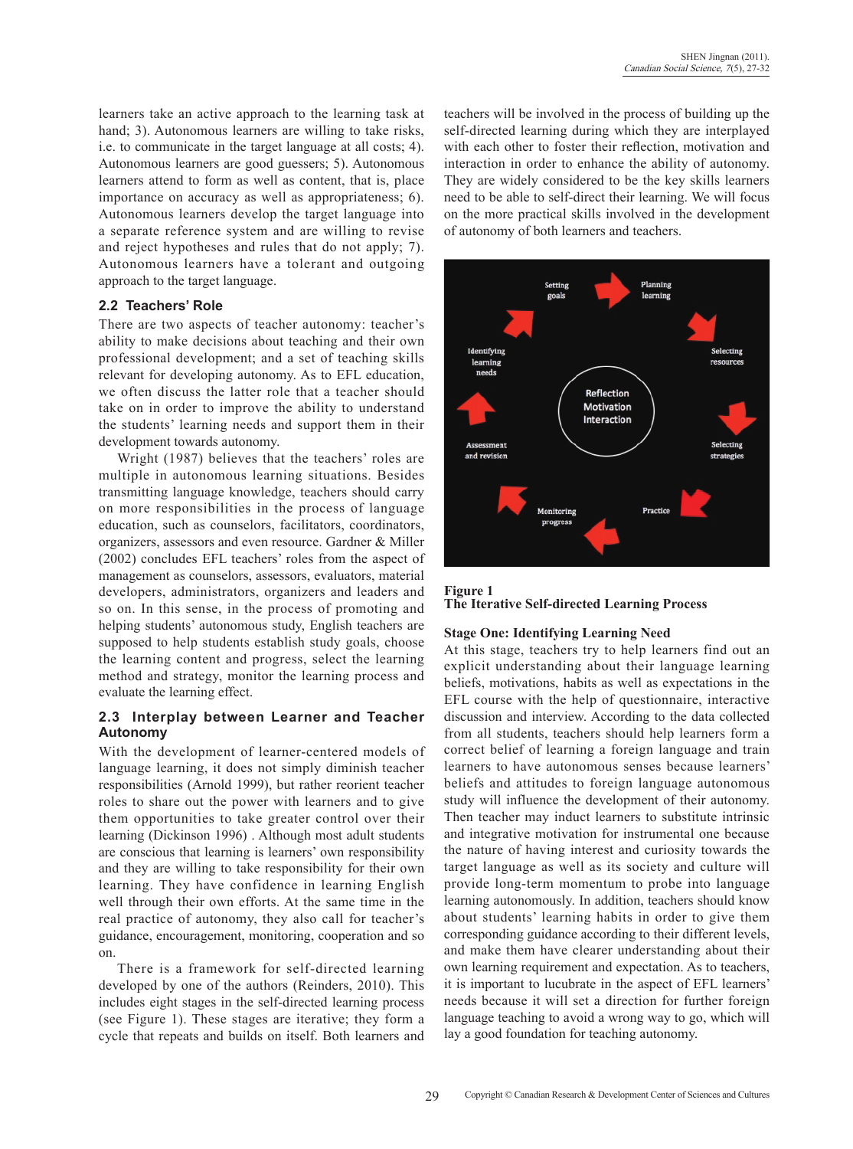learners take an active approach to the learning task at hand; 3). Autonomous learners are willing to take risks, i.e. to communicate in the target language at all costs; 4). Autonomous learners are good guessers; 5). Autonomous learners attend to form as well as content, that is, place importance on accuracy as well as appropriateness; 6). Autonomous learners develop the target language into a separate reference system and are willing to revise and reject hypotheses and rules that do not apply; 7). Autonomous learners have a tolerant and outgoing approach to the target language.

### **2.2 Teachers' Role**

There are two aspects of teacher autonomy: teacher's ability to make decisions about teaching and their own professional development; and a set of teaching skills relevant for developing autonomy. As to EFL education, we often discuss the latter role that a teacher should take on in order to improve the ability to understand the students' learning needs and support them in their development towards autonomy.

Wright (1987) believes that the teachers' roles are multiple in autonomous learning situations. Besides transmitting language knowledge, teachers should carry on more responsibilities in the process of language education, such as counselors, facilitators, coordinators, organizers, assessors and even resource. Gardner & Miller (2002) concludes EFL teachers' roles from the aspect of management as counselors, assessors, evaluators, material developers, administrators, organizers and leaders and so on. In this sense, in the process of promoting and helping students' autonomous study, English teachers are supposed to help students establish study goals, choose the learning content and progress, select the learning method and strategy, monitor the learning process and evaluate the learning effect.

## **2.3 Interplay between Learner and Teacher Autonomy**

With the development of learner-centered models of language learning, it does not simply diminish teacher responsibilities (Arnold 1999), but rather reorient teacher roles to share out the power with learners and to give them opportunities to take greater control over their learning (Dickinson 1996) . Although most adult students are conscious that learning is learners' own responsibility and they are willing to take responsibility for their own learning. They have confidence in learning English well through their own efforts. At the same time in the real practice of autonomy, they also call for teacher's guidance, encouragement, monitoring, cooperation and so on.

There is a framework for self-directed learning developed by one of the authors (Reinders, 2010). This includes eight stages in the self-directed learning process (see Figure 1). These stages are iterative; they form a cycle that repeats and builds on itself. Both learners and

teachers will be involved in the process of building up the self-directed learning during which they are interplayed with each other to foster their reflection, motivation and interaction in order to enhance the ability of autonomy. They are widely considered to be the key skills learners need to be able to self-direct their learning. We will focus on the more practical skills involved in the development of autonomy of both learners and teachers.



**Figure 1 The Iterative Self-directed Learning Process**

### **Stage One: Identifying Learning Need**

At this stage, teachers try to help learners find out an explicit understanding about their language learning beliefs, motivations, habits as well as expectations in the EFL course with the help of questionnaire, interactive discussion and interview. According to the data collected from all students, teachers should help learners form a correct belief of learning a foreign language and train learners to have autonomous senses because learners' beliefs and attitudes to foreign language autonomous study will influence the development of their autonomy. Then teacher may induct learners to substitute intrinsic and integrative motivation for instrumental one because the nature of having interest and curiosity towards the target language as well as its society and culture will provide long-term momentum to probe into language learning autonomously. In addition, teachers should know about students' learning habits in order to give them corresponding guidance according to their different levels, and make them have clearer understanding about their own learning requirement and expectation. As to teachers, it is important to lucubrate in the aspect of EFL learners' needs because it will set a direction for further foreign language teaching to avoid a wrong way to go, which will lay a good foundation for teaching autonomy.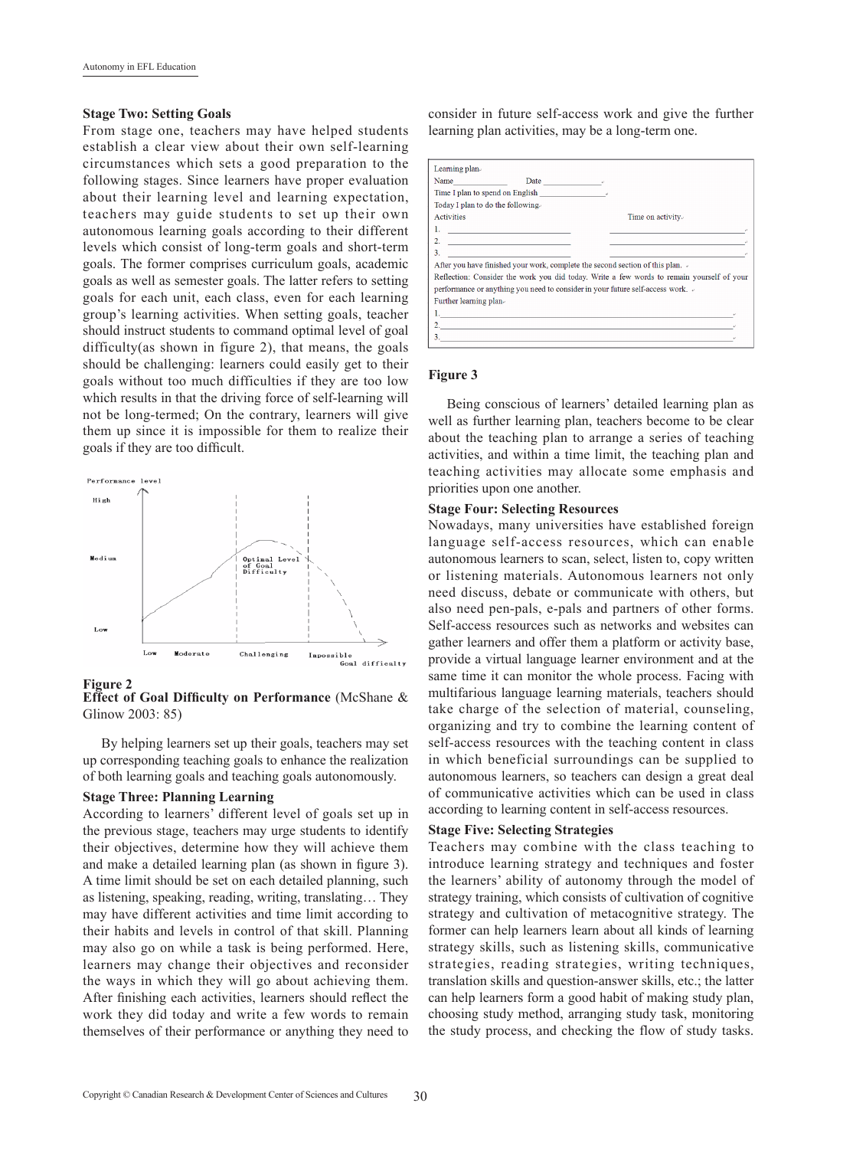#### **Stage Two: Setting Goals**

From stage one, teachers may have helped students establish a clear view about their own self-learning circumstances which sets a good preparation to the following stages. Since learners have proper evaluation about their learning level and learning expectation, teachers may guide students to set up their own autonomous learning goals according to their different levels which consist of long-term goals and short-term goals. The former comprises curriculum goals, academic goals as well as semester goals. The latter refers to setting goals for each unit, each class, even for each learning group's learning activities. When setting goals, teacher should instruct students to command optimal level of goal difficulty(as shown in figure 2), that means, the goals should be challenging: learners could easily get to their goals without too much difficulties if they are too low which results in that the driving force of self-learning will not be long-termed; On the contrary, learners will give them up since it is impossible for them to realize their goals if they are too difficult.



**Effect of Goal Difficulty on Performance** (McShane & Glinow 2003: 85)

By helping learners set up their goals, teachers may set up corresponding teaching goals to enhance the realization of both learning goals and teaching goals autonomously.

#### **Stage Three: Planning Learning**

According to learners' different level of goals set up in the previous stage, teachers may urge students to identify their objectives, determine how they will achieve them and make a detailed learning plan (as shown in figure 3). A time limit should be set on each detailed planning, such as listening, speaking, reading, writing, translating… They may have different activities and time limit according to their habits and levels in control of that skill. Planning may also go on while a task is being performed. Here, learners may change their objectives and reconsider the ways in which they will go about achieving them. After finishing each activities, learners should reflect the work they did today and write a few words to remain themselves of their performance or anything they need to consider in future self-access work and give the further learning plan activities, may be a long-term one.



## **Figure 3**

Being conscious of learners' detailed learning plan as well as further learning plan, teachers become to be clear about the teaching plan to arrange a series of teaching activities, and within a time limit, the teaching plan and teaching activities may allocate some emphasis and priorities upon one another.

#### **Stage Four: Selecting Resources**

Nowadays, many universities have established foreign language self-access resources, which can enable autonomous learners to scan, select, listen to, copy written or listening materials. Autonomous learners not only need discuss, debate or communicate with others, but also need pen-pals, e-pals and partners of other forms. Self-access resources such as networks and websites can gather learners and offer them a platform or activity base, provide a virtual language learner environment and at the same time it can monitor the whole process. Facing with multifarious language learning materials, teachers should take charge of the selection of material, counseling, organizing and try to combine the learning content of self-access resources with the teaching content in class in which beneficial surroundings can be supplied to autonomous learners, so teachers can design a great deal of communicative activities which can be used in class according to learning content in self-access resources.

#### **Stage Five: Selecting Strategies**

Teachers may combine with the class teaching to introduce learning strategy and techniques and foster the learners' ability of autonomy through the model of strategy training, which consists of cultivation of cognitive strategy and cultivation of metacognitive strategy. The former can help learners learn about all kinds of learning strategy skills, such as listening skills, communicative strategies, reading strategies, writing techniques, translation skills and question-answer skills, etc.; the latter can help learners form a good habit of making study plan, choosing study method, arranging study task, monitoring the study process, and checking the flow of study tasks.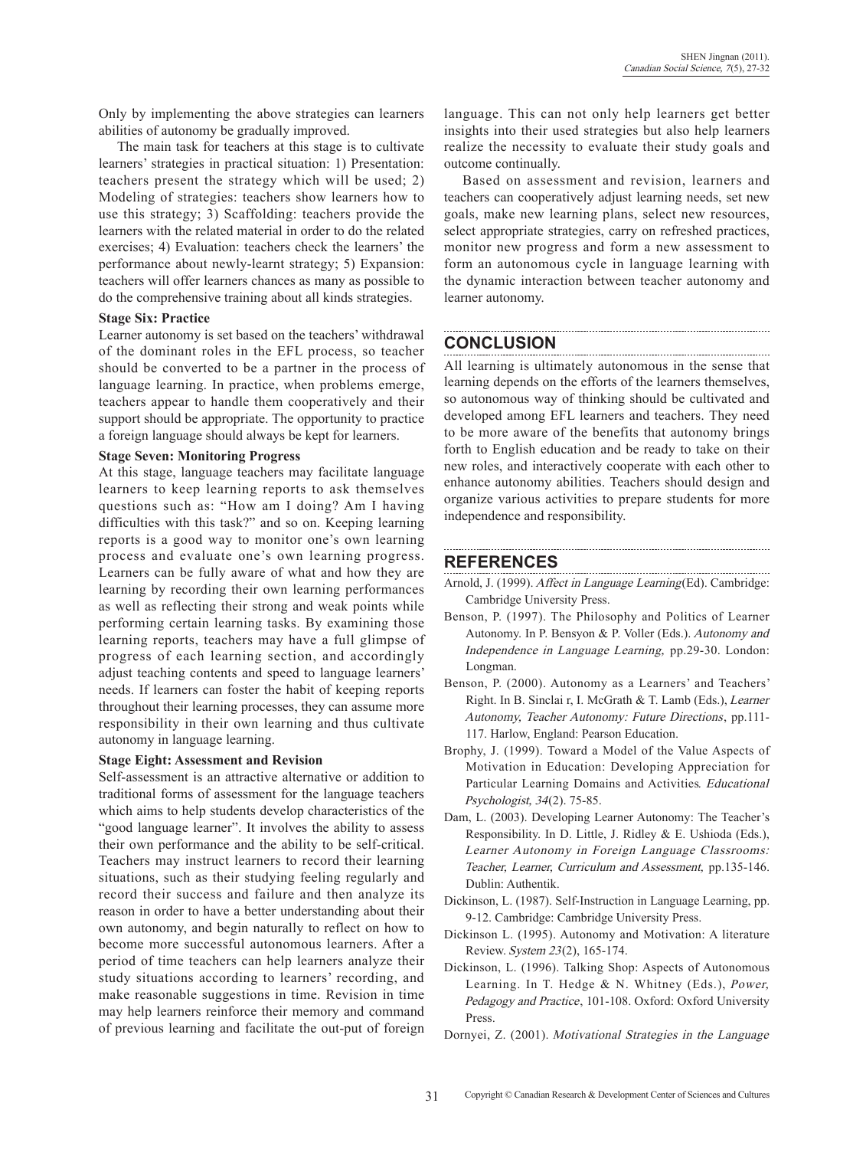Only by implementing the above strategies can learners abilities of autonomy be gradually improved.

The main task for teachers at this stage is to cultivate learners' strategies in practical situation: 1) Presentation: teachers present the strategy which will be used; 2) Modeling of strategies: teachers show learners how to use this strategy; 3) Scaffolding: teachers provide the learners with the related material in order to do the related exercises; 4) Evaluation: teachers check the learners' the performance about newly-learnt strategy; 5) Expansion: teachers will offer learners chances as many as possible to do the comprehensive training about all kinds strategies.

#### **Stage Six: Practice**

Learner autonomy is set based on the teachers' withdrawal of the dominant roles in the EFL process, so teacher should be converted to be a partner in the process of language learning. In practice, when problems emerge, teachers appear to handle them cooperatively and their support should be appropriate. The opportunity to practice a foreign language should always be kept for learners.

#### **Stage Seven: Monitoring Progress**

At this stage, language teachers may facilitate language learners to keep learning reports to ask themselves questions such as: "How am I doing? Am I having difficulties with this task?" and so on. Keeping learning reports is a good way to monitor one's own learning process and evaluate one's own learning progress. Learners can be fully aware of what and how they are learning by recording their own learning performances as well as reflecting their strong and weak points while performing certain learning tasks. By examining those learning reports, teachers may have a full glimpse of progress of each learning section, and accordingly adjust teaching contents and speed to language learners' needs. If learners can foster the habit of keeping reports throughout their learning processes, they can assume more responsibility in their own learning and thus cultivate autonomy in language learning.

### **Stage Eight: Assessment and Revision**

Self-assessment is an attractive alternative or addition to traditional forms of assessment for the language teachers which aims to help students develop characteristics of the "good language learner". It involves the ability to assess their own performance and the ability to be self-critical. Teachers may instruct learners to record their learning situations, such as their studying feeling regularly and record their success and failure and then analyze its reason in order to have a better understanding about their own autonomy, and begin naturally to reflect on how to become more successful autonomous learners. After a period of time teachers can help learners analyze their study situations according to learners' recording, and make reasonable suggestions in time. Revision in time may help learners reinforce their memory and command of previous learning and facilitate the out-put of foreign language. This can not only help learners get better insights into their used strategies but also help learners realize the necessity to evaluate their study goals and outcome continually.

Based on assessment and revision, learners and teachers can cooperatively adjust learning needs, set new goals, make new learning plans, select new resources, select appropriate strategies, carry on refreshed practices, monitor new progress and form a new assessment to form an autonomous cycle in language learning with the dynamic interaction between teacher autonomy and learner autonomy.

# **CONCLUSION**

All learning is ultimately autonomous in the sense that learning depends on the efforts of the learners themselves, so autonomous way of thinking should be cultivated and developed among EFL learners and teachers. They need to be more aware of the benefits that autonomy brings forth to English education and be ready to take on their new roles, and interactively cooperate with each other to enhance autonomy abilities. Teachers should design and organize various activities to prepare students for more independence and responsibility.

# **REFERENCES**

- Arnold, J. (1999). Affect in Language Learning(Ed). Cambridge: Cambridge University Press.
- Benson, P. (1997). The Philosophy and Politics of Learner Autonomy. In P. Bensyon & P. Voller (Eds.). Autonomy and Independence in Language Learning, pp.29-30. London: Longman.
- Benson, P. (2000). Autonomy as a Learners' and Teachers' Right. In B. Sinclai r, I. McGrath & T. Lamb (Eds.), Learner Autonomy, Teacher Autonomy: Future Directions, pp.111- 117. Harlow, England: Pearson Education.
- Brophy, J. (1999). Toward a Model of the Value Aspects of Motivation in Education: Developing Appreciation for Particular Learning Domains and Activities. Educational Psychologist, 34(2). 75-85.
- Dam, L. (2003). Developing Learner Autonomy: The Teacher's Responsibility. In D. Little, J. Ridley  $& E$ . Ushioda (Eds.), Learner Autonomy in Foreign Language Classrooms: Teacher, Learner, Curriculum and Assessment, pp.135-146. Dublin: Authentik.
- Dickinson, L. (1987). Self-Instruction in Language Learning, pp. 9-12. Cambridge: Cambridge University Press.
- Dickinson L. (1995). Autonomy and motivation: A literature Review. System 23(2), 165-174.
- Dickinson, L. (1996). Talking Shop: Aspects of Autonomous Learning. In T. Hedge & N. Whitney (Eds.), Power, Pedagogy and Practice, 101-108. Oxford: Oxford University Press.
- Dornyei, Z. (2001). Motivational Strategies in the Language